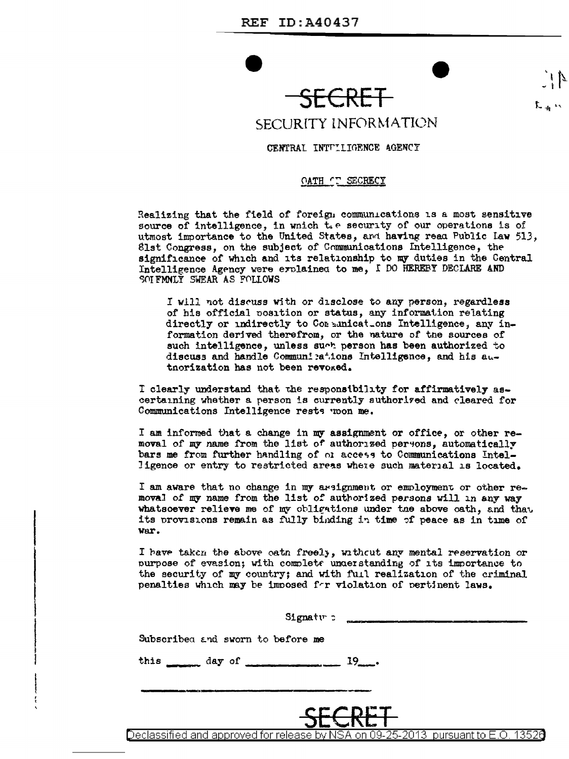



## SECURITY INFORMATION

## CENTRAL INTULIGENCE AGENCY

## OATH CT SECRECY

Realizing that the field of foreign communications is a most sensitive source of intelligence, in which the security of our operations is of utmost importance to the United States, and having read Public law 513, 81st Congress, on the subject of Communications Intelligence, the significance of which and its relationship to my duties in the Central Intelligence Agency were erolained to me, I DO HEREBY DECLARE AND SOI FMNLY SWEAR AS FOLLOWS

I will not discuss with or disclose to any person, regardless of his official position or status, any information relating directly or indirectly to Communications Intelligence, any information derived therefrom, or the nature of the sources of such intelligence, unless such person has been authorized to discuss and handle Communications Intelligence, and his autnorization has not been revoxed.

I clearly understand that the responsibility for affirmatively ascertaining whether a person is currently suthorized and cleared for Communications Intelligence rests woon me.

I am informed that a change in my assignment or office, or other removal of my name from the list of authorized persons, automatically bars me from further handling of or access to Communications Intelligence or entry to restricted areas where such material is located.

I am aware that no change in my arsignment or employment or other removal of my name from the list of authorized persons will in any way whatsoever relieve me of my obligations under the above oath, and that its provisions remain as fully binding in time of peace as in time of war.

I have taken the above eath freely, without any mental reservation or purpose of evasion; with complete understanding of its importance to the security of my country; and with full realization of the criminal penalties which may be imposed for violation of pertinent laws.

| Signatur:<br>Subscribed and sworn to before me                                    |               |
|-----------------------------------------------------------------------------------|---------------|
| this $\frac{dy}{dx}$ day of                                                       | 19            |
|                                                                                   | <b>SECRET</b> |
| eclassified and approved for release by NSA on 09-25-2013  pursuant to E.O. 13526 |               |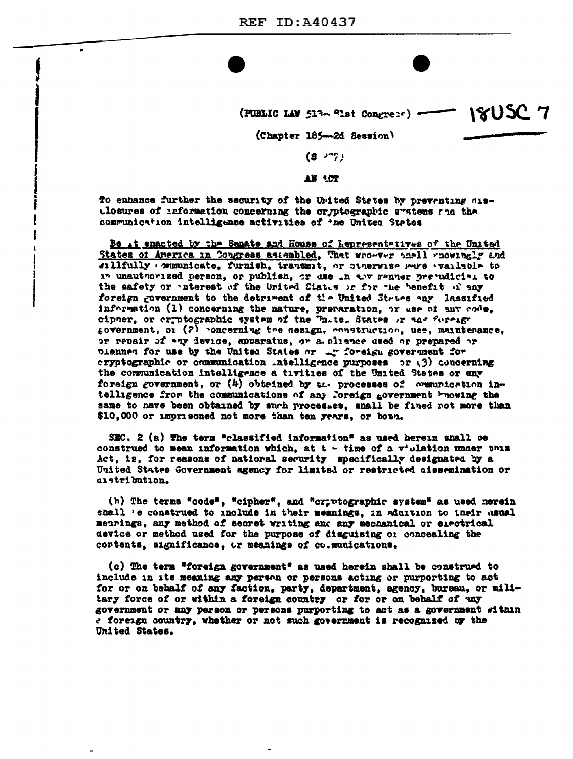$\blacksquare$ 

| (PUBLIC LAW 513 alst Congress) - 1805C 7 |  |  |  |  |  |  |
|------------------------------------------|--|--|--|--|--|--|
|------------------------------------------|--|--|--|--|--|--|

(Chapter 185-2d Session)

|  | ı |
|--|---|
|  |   |

AN 'CT

To enhance further the security of the Urited States by preventing aiselosures of information concerning the cryptographic systems and the communication intelligence activities of the United States

Be it enacted by the Senate and House of Lepresentatives of the United States of America in Congress assembled, That wro-ver anall whowingly and sillfully communicate, furnish, transmit, or cinerwise were variable to in unauthorized person, or publish, or dae in the sanner prejudicial to the safety or unterest of the United States or for the benefit of any foreign government to the detriment of the United Stries any lassified information (1) concerning the nature, preparation, or use of any code, cipner, or cryptographic system of the Thite. States or and fureign government, or (2) concerning the nesign, construction, use, maintenance, or repair of any device, apparatus, or a oliance used or prepared or planned for use by the United States or ar foreign government for cryptographic or communication .ntelligence purposes or (3) concerning the communication intelligence a tivities of the United States or any foreign government, or (4) obtained by the processes of communication intelligence from the communications of any foreign government browing the same to nave been obtained by such processes, snall be fined not more than \$10,000 or imprisoned not more than ten years, or both.

SEC. 2 (a) The term "classified information" as used herein shall be construed to mean information which, at  $t - t$  ime of a  $v^*$  olation under this Act, is, for reasons of national security specifically designated by a United States Government agency for limited or restricted aissemination or alstribution.

(h) The terms "code", "cipher", and "cr; rtographic system" as used nerein shall 'e construed to include in their meanings, in addition to their asual mearings, any method of secret writing and any mechanical or electrical device or method used for the purpose of disguising or concealing the cortents, significance, or meanings of co.munications.

(c) The term "foreign government" as used herein shall be construed to include in its meaning any person or persons acting or purporting to act for or on behalf of any faction, party, department, agency, bureau, or military force of or within a foreign country or for or on behalf of any government or any person or persons purporting to act as a government within a foreign country, whether or not such government is recognized uy the United States.